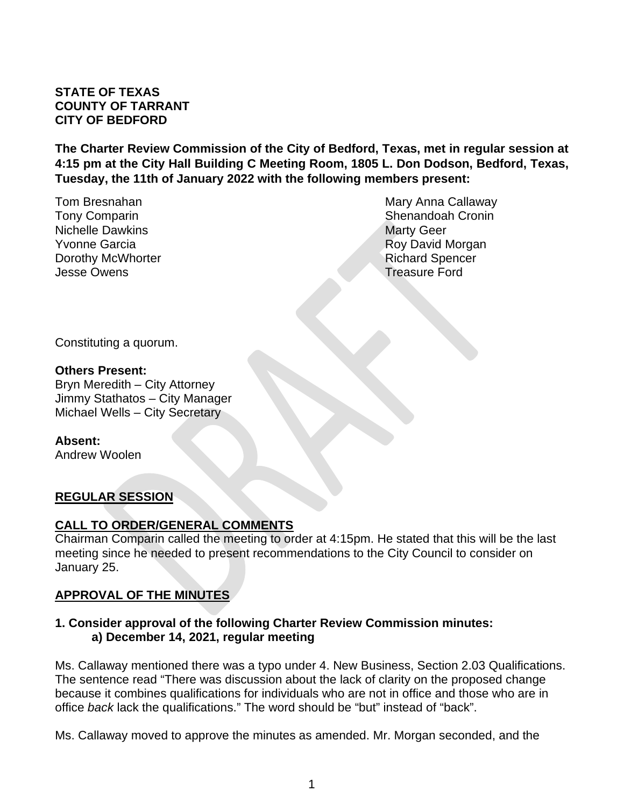### **STATE OF TEXAS COUNTY OF TARRANT CITY OF BEDFORD**

**The Charter Review Commission of the City of Bedford, Texas, met in regular session at 4:15 pm at the City Hall Building C Meeting Room, 1805 L. Don Dodson, Bedford, Texas, Tuesday, the 11th of January 2022 with the following members present:**

Nichelle Dawkins **Marty Geer** Marty Geer **Yvonne Garcia Roy David Morgan Dorothy McWhorter Community Community Community Community Community Community Community Community Community Community Community Community Community Community Community Community Community Community Community Community Com** Jesse Owens Treasure Ford

Tom Bresnahan Mary Anna Callaway Tony Comparin Shenandoah Cronin Shenandoah Cronin

Constituting a quorum.

#### **Others Present:**

Bryn Meredith – City Attorney Jimmy Stathatos – City Manager Michael Wells – City Secretary

**Absent:** Andrew Woolen

#### **REGULAR SESSION**

#### **CALL TO ORDER/GENERAL COMMENTS**

Chairman Comparin called the meeting to order at 4:15pm. He stated that this will be the last meeting since he needed to present recommendations to the City Council to consider on January 25.

## **APPROVAL OF THE MINUTES**

#### **1. Consider approval of the following Charter Review Commission minutes: a) December 14, 2021, regular meeting**

Ms. Callaway mentioned there was a typo under 4. New Business, Section 2.03 Qualifications. The sentence read "There was discussion about the lack of clarity on the proposed change because it combines qualifications for individuals who are not in office and those who are in office *back* lack the qualifications." The word should be "but" instead of "back".

Ms. Callaway moved to approve the minutes as amended. Mr. Morgan seconded, and the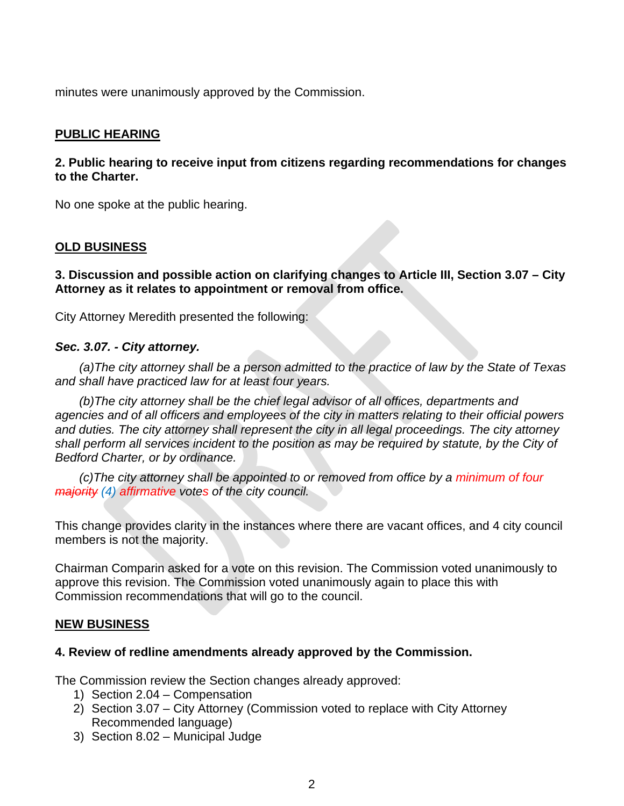minutes were unanimously approved by the Commission.

### **PUBLIC HEARING**

### **2. Public hearing to receive input from citizens regarding recommendations for changes to the Charter.**

No one spoke at the public hearing.

#### **OLD BUSINESS**

**3. Discussion and possible action on clarifying changes to Article III, Section 3.07 – City Attorney as it relates to appointment or removal from office.**

City Attorney Meredith presented the following:

#### *Sec. 3.07. - City attorney.*

*(a)The city attorney shall be a person admitted to the practice of law by the State of Texas and shall have practiced law for at least four years.*

*(b)The city attorney shall be the chief legal advisor of all offices, departments and agencies and of all officers and employees of the city in matters relating to their official powers and duties. The city attorney shall represent the city in all legal proceedings. The city attorney shall perform all services incident to the position as may be required by statute, by the City of Bedford Charter, or by ordinance.* 

*(c)The city attorney shall be appointed to or removed from office by a minimum of four majority (4) affirmative votes of the city council.*

This change provides clarity in the instances where there are vacant offices, and 4 city council members is not the majority.

Chairman Comparin asked for a vote on this revision. The Commission voted unanimously to approve this revision. The Commission voted unanimously again to place this with Commission recommendations that will go to the council.

#### **NEW BUSINESS**

#### **4. Review of redline amendments already approved by the Commission.**

The Commission review the Section changes already approved:

- 1) Section 2.04 Compensation
- 2) Section 3.07 City Attorney (Commission voted to replace with City Attorney Recommended language)
- 3) Section 8.02 Municipal Judge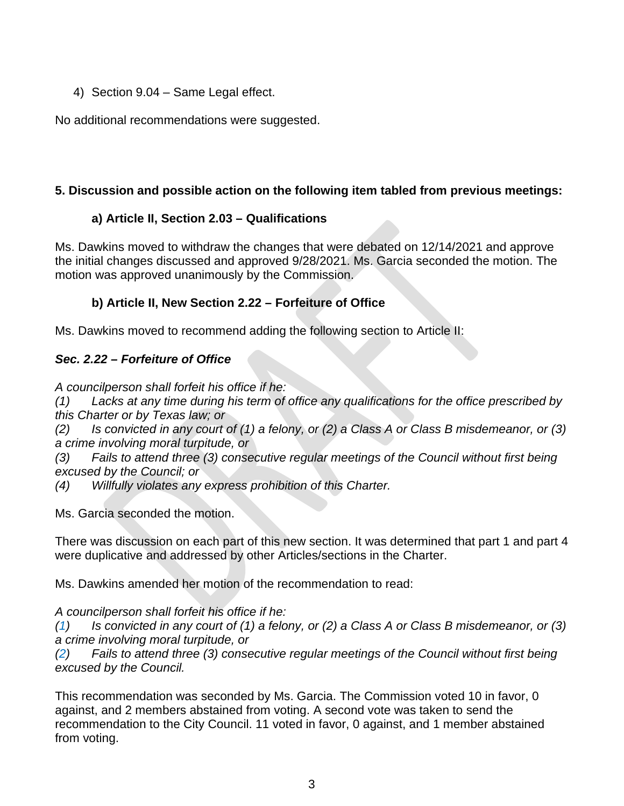4) Section 9.04 – Same Legal effect.

No additional recommendations were suggested.

# **5. Discussion and possible action on the following item tabled from previous meetings:**

# **a) Article II, Section 2.03 – Qualifications**

Ms. Dawkins moved to withdraw the changes that were debated on 12/14/2021 and approve the initial changes discussed and approved 9/28/2021. Ms. Garcia seconded the motion. The motion was approved unanimously by the Commission.

# **b) Article II, New Section 2.22 – Forfeiture of Office**

Ms. Dawkins moved to recommend adding the following section to Article II:

# *Sec. 2.22 – Forfeiture of Office*

*A councilperson shall forfeit his office if he:*

*(1) Lacks at any time during his term of office any qualifications for the office prescribed by this Charter or by Texas law; or*

(2) Is convicted in any court of (1) a felony, or (2) a Class A or Class B misdemeanor, or (3) *a crime involving moral turpitude, or*

*(3) Fails to attend three (3) consecutive regular meetings of the Council without first being excused by the Council; or*

*(4) Willfully violates any express prohibition of this Charter.*

Ms. Garcia seconded the motion.

There was discussion on each part of this new section. It was determined that part 1 and part 4 were duplicative and addressed by other Articles/sections in the Charter.

Ms. Dawkins amended her motion of the recommendation to read:

*A councilperson shall forfeit his office if he:*

 $(1)$  Is convicted in any court of (1) a felony, or (2) a Class A or Class B misdemeanor, or (3) *a crime involving moral turpitude, or*

*(2) Fails to attend three (3) consecutive regular meetings of the Council without first being excused by the Council.*

This recommendation was seconded by Ms. Garcia. The Commission voted 10 in favor, 0 against, and 2 members abstained from voting. A second vote was taken to send the recommendation to the City Council. 11 voted in favor, 0 against, and 1 member abstained from voting.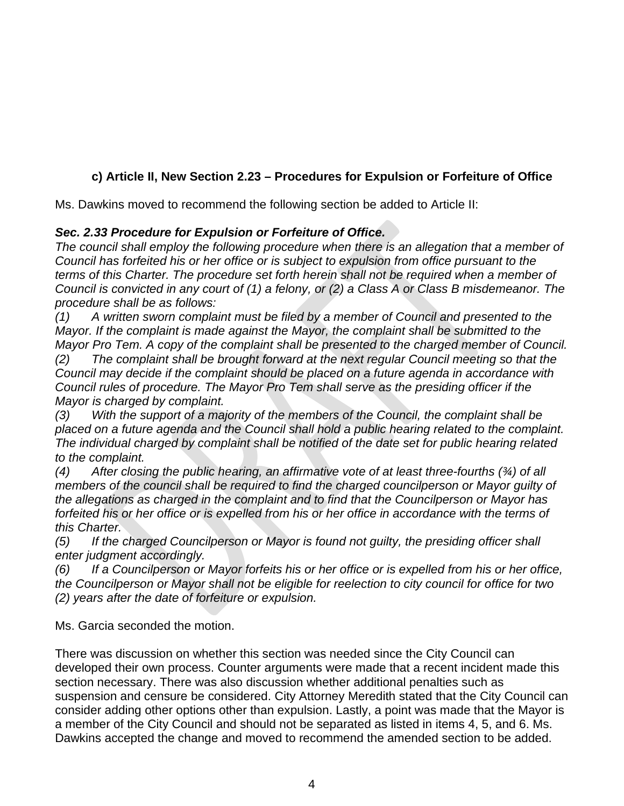# **c) Article II, New Section 2.23 – Procedures for Expulsion or Forfeiture of Office**

Ms. Dawkins moved to recommend the following section be added to Article II:

## *Sec. 2.33 Procedure for Expulsion or Forfeiture of Office.*

*The council shall employ the following procedure when there is an allegation that a member of Council has forfeited his or her office or is subject to expulsion from office pursuant to the terms of this Charter. The procedure set forth herein shall not be required when a member of* Council is convicted in any court of (1) a felony, or (2) a Class A or Class B misdemeanor. The *procedure shall be as follows:*

*(1) A written sworn complaint must be filed by a member of Council and presented to the Mayor. If the complaint is made against the Mayor, the complaint shall be submitted to the Mayor Pro Tem. A copy of the complaint shall be presented to the charged member of Council.*

*(2) The complaint shall be brought forward at the next regular Council meeting so that the Council may decide if the complaint should be placed on a future agenda in accordance with Council rules of procedure. The Mayor Pro Tem shall serve as the presiding officer if the Mayor is charged by complaint.*

*(3) With the support of a majority of the members of the Council, the complaint shall be placed on a future agenda and the Council shall hold a public hearing related to the complaint. The individual charged by complaint shall be notified of the date set for public hearing related to the complaint.*

*(4) After closing the public hearing, an affirmative vote of at least three-fourths (¾) of all members of the council shall be required to find the charged councilperson or Mayor guilty of the allegations as charged in the complaint and to find that the Councilperson or Mayor has* forfeited his or her office or is expelled from his or her office in accordance with the terms of *this Charter.*

*(5) If the charged Councilperson or Mayor is found not guilty, the presiding officer shall enter judgment accordingly.*

(6) If a Councilperson or Mayor forfeits his or her office or is expelled from his or her office, *the Councilperson or Mayor shall not be eligible for reelection to city council for office for two (2) years after the date of forfeiture or expulsion.*

Ms. Garcia seconded the motion.

There was discussion on whether this section was needed since the City Council can developed their own process. Counter arguments were made that a recent incident made this section necessary. There was also discussion whether additional penalties such as suspension and censure be considered. City Attorney Meredith stated that the City Council can consider adding other options other than expulsion. Lastly, a point was made that the Mayor is a member of the City Council and should not be separated as listed in items 4, 5, and 6. Ms. Dawkins accepted the change and moved to recommend the amended section to be added.